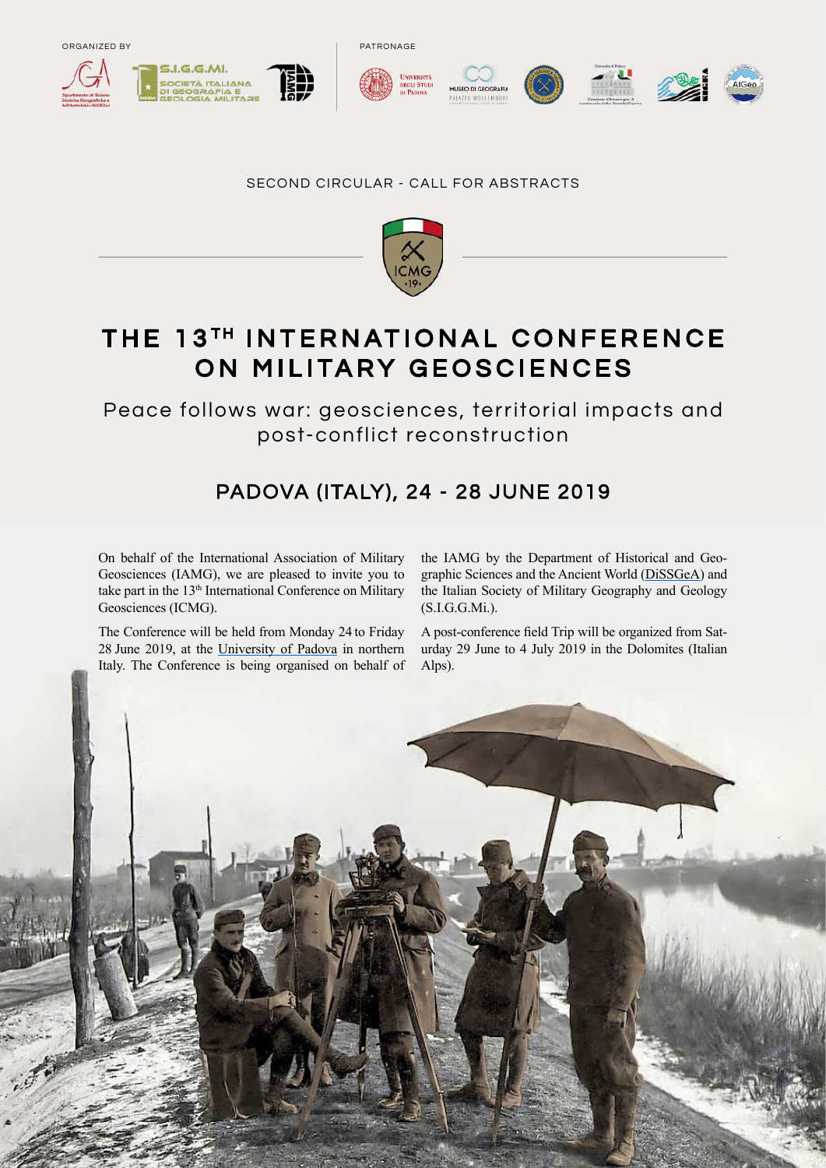





PATRONAGE







#### SECOND CIRCULAR - CALL FOR ABSTRACTS



# THE 13TH INTERNATIONAL CONFERENCE ON MILITARY GEOSCIENCES

Peace follows war: geosciences, territorial impacts and post-conflict reconstruction

# PADOVA (ITALY), 24 - 28 JUNE 2019

On behalf of the International Association of Military Geosciences (IAMG), we are pleased to invite you to take part in the 13<sup>th</sup> International Conference on Military Geosciences (ICMG).

The Conference will be held from Monday 24 to Friday 28 June 2019, at the [University of Padova](http://www.unipd.it/en/) in northern Italy. The Conference is being organised on behalf of the IAMG by the Department of Historical and Geographic Sciences and the Ancient World [\(DiSSGeA\)](http://www.dissgea.unipd.it/en/) and the Italian Society of Military Geography and Geology (S.I.G.G.Mi.).

A post-conference field Trip will be organized from Saturday 29 June to 4 July 2019 in the Dolomites (Italian Alps).

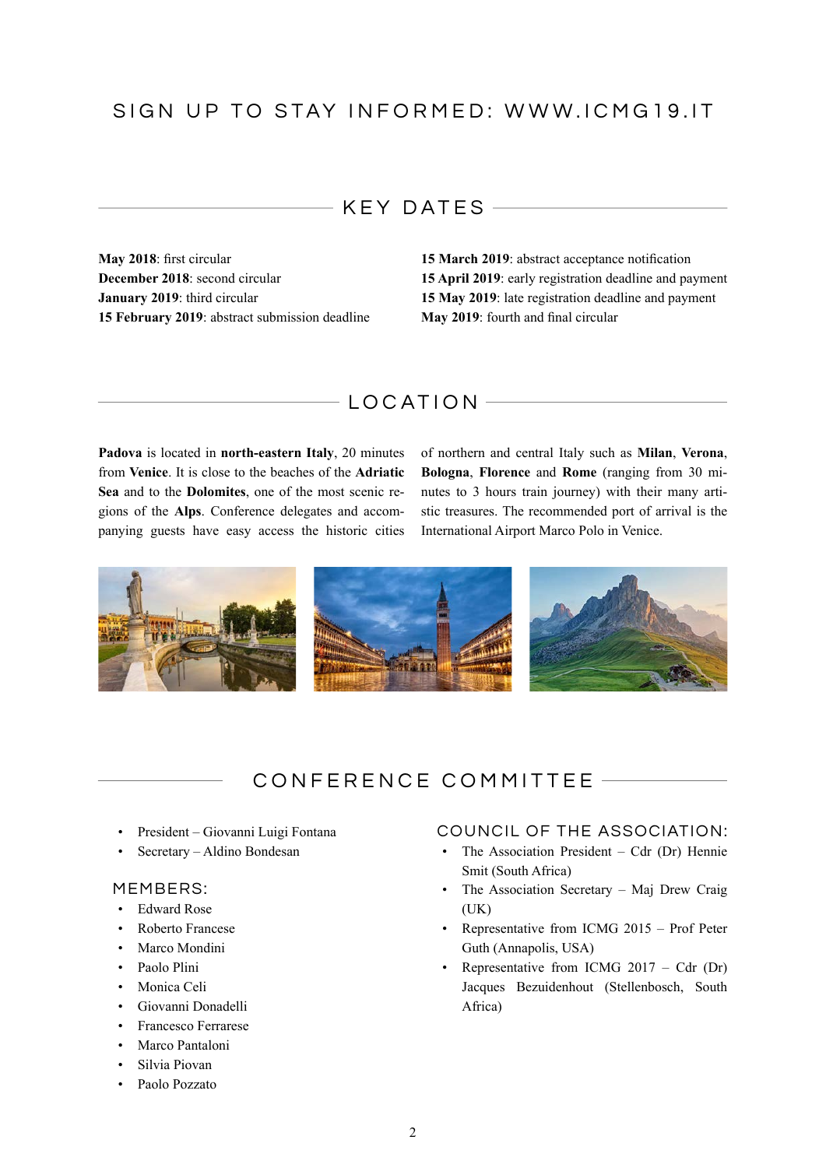## KEY DATES

**May 2018**: first circular **December 2018**: second circular **January 2019**: third circular **15 February 2019**: abstract submission deadline **15 March 2019**: abstract acceptance notification **15 April 2019**: early registration deadline and payment **15 May 2019**: late registration deadline and payment **May 2019**: fourth and final circular

### $-LOCATION$

**[Padova](http://www.unipd.it/en/university/cultural-heritage-0/palazzo-bo-and-anatomical-theatre)** is located in **north-eastern Italy**, 20 minutes from **Venice**. It is close to the beaches of the **Adriatic Sea** and to the **Dolomites**, one of the most scenic regions of the **Alps**. Conference delegates and accompanying guests have easy access the historic cities of northern and central Italy such as **Milan**, **Verona**, **Bologna**, **Florence** and **Rome** (ranging from 30 minutes to 3 hours train journey) with their many artistic treasures. The recommended port of arrival is the International Airport Marco Polo in Venice.



# CONFERENCE COMMITTEE

- President Giovanni Luigi Fontana
- Secretary Aldino Bondesan

#### MEMBERS:

- Edward Rose
- Roberto Francese
- Marco Mondini
- Paolo Plini
- Monica Celi
- Giovanni Donadelli
- Francesco Ferrarese
- Marco Pantaloni
- Silvia Piovan
- Paolo Pozzato

### COUNCIL OF THE ASSOCIATION:

- The Association President Cdr (Dr) Hennie Smit (South Africa)
- The Association Secretary Maj Drew Craig (UK)
- Representative from ICMG 2015 Prof Peter Guth (Annapolis, USA)
- Representative from ICMG 2017 Cdr (Dr) Jacques Bezuidenhout (Stellenbosch, South Africa)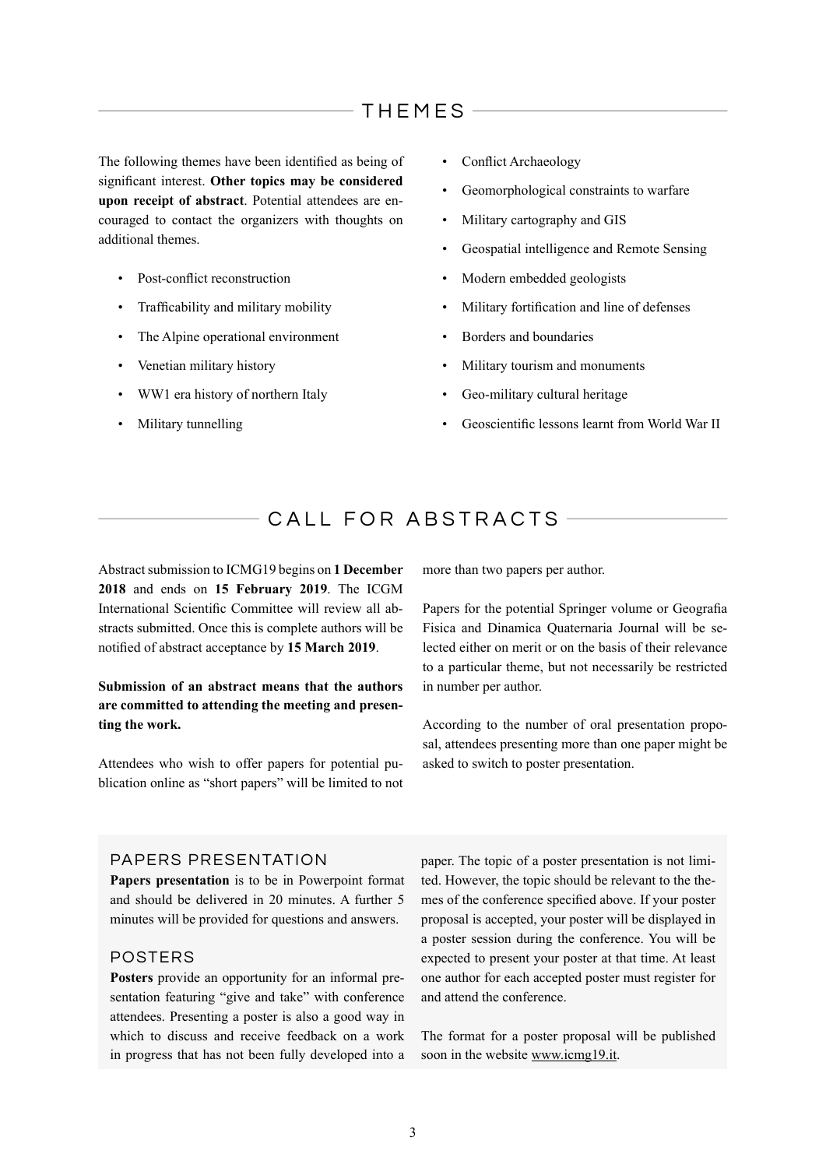## THEMES

The following themes have been identified as being of significant interest. **Other topics may be considered upon receipt of abstract**. Potential attendees are encouraged to contact the organizers with thoughts on additional themes.

- Post-conflict reconstruction
- Trafficability and military mobility
- The Alpine operational environment
- Venetian military history
- WW1 era history of northern Italy
- Military tunnelling
- Conflict Archaeology
- Geomorphological constraints to warfare
- Military cartography and GIS
- Geospatial intelligence and Remote Sensing
- Modern embedded geologists
- Military fortification and line of defenses
- Borders and boundaries
- Military tourism and monuments
- Geo-military cultural heritage
- Geoscientific lessons learnt from World War II

## CALL FOR ABSTRACTS -

Abstract submission to ICMG19 begins on **1 December 2018** and ends on **15 February 2019**. The ICGM International Scientific Committee will review all abstracts submitted. Once this is complete authors will be notified of abstract acceptance by **15 March 2019**.

#### **Submission of an abstract means that the authors are committed to attending the meeting and presenting the work.**

Attendees who wish to offer papers for potential publication online as "short papers" will be limited to not more than two papers per author.

Papers for the potential Springer volume or Geografia Fisica and Dinamica Quaternaria Journal will be selected either on merit or on the basis of their relevance to a particular theme, but not necessarily be restricted in number per author.

According to the number of oral presentation proposal, attendees presenting more than one paper might be asked to switch to poster presentation.

#### PAPERS PRESENTATION

**Papers presentation** is to be in Powerpoint format and should be delivered in 20 minutes. A further 5 minutes will be provided for questions and answers.

#### POSTERS

**Posters** provide an opportunity for an informal presentation featuring "give and take" with conference attendees. Presenting a poster is also a good way in which to discuss and receive feedback on a work in progress that has not been fully developed into a

paper. The topic of a poster presentation is not limited. However, the topic should be relevant to the themes of the conference specified above. If your poster proposal is accepted, your poster will be displayed in a poster session during the conference. You will be expected to present your poster at that time. At least one author for each accepted poster must register for and attend the conference.

The format for a poster proposal will be published soon in the website www.icmg19.it.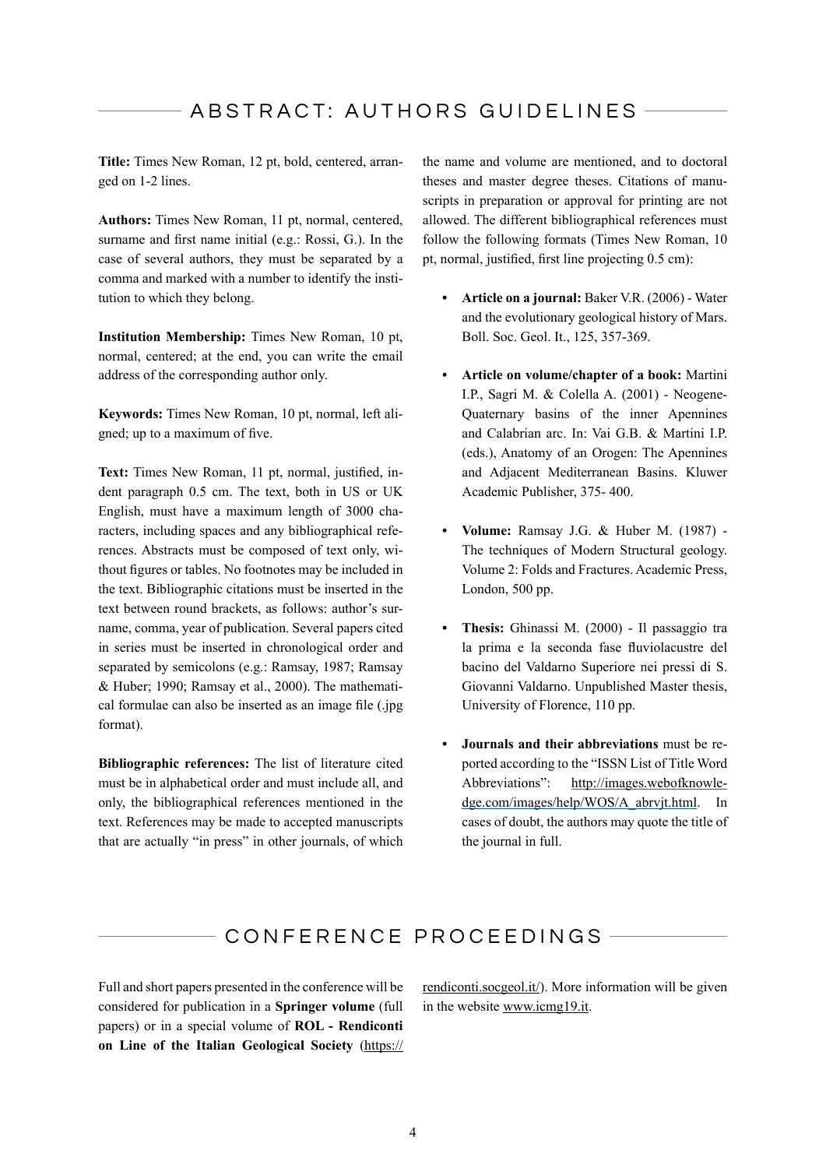**Title:** Times New Roman, 12 pt, bold, centered, arranged on 1-2 lines.

**Authors:** Times New Roman, 11 pt, normal, centered, surname and first name initial (e.g.: Rossi, G.). In the case of several authors, they must be separated by a comma and marked with a number to identify the institution to which they belong.

**Institution Membership:** Times New Roman, 10 pt, normal, centered; at the end, you can write the email address of the corresponding author only.

**Keywords:** Times New Roman, 10 pt, normal, left aligned; up to a maximum of five.

**Text:** Times New Roman, 11 pt, normal, justified, indent paragraph 0.5 cm. The text, both in US or UK English, must have a maximum length of 3000 characters, including spaces and any bibliographical references. Abstracts must be composed of text only, without figures or tables. No footnotes may be included in the text. Bibliographic citations must be inserted in the text between round brackets, as follows: author's surname, comma, year of publication. Several papers cited in series must be inserted in chronological order and separated by semicolons (e.g.: Ramsay, 1987; Ramsay & Huber; 1990; Ramsay et al., 2000). The mathematical formulae can also be inserted as an image file (.jpg format).

**Bibliographic references:** The list of literature cited must be in alphabetical order and must include all, and only, the bibliographical references mentioned in the text. References may be made to accepted manuscripts that are actually "in press" in other journals, of which the name and volume are mentioned, and to doctoral theses and master degree theses. Citations of manuscripts in preparation or approval for printing are not allowed. The different bibliographical references must follow the following formats (Times New Roman, 10 pt, normal, justified, first line projecting 0.5 cm):

- **• Article on a journal:** Baker V.R. (2006) Water and the evolutionary geological history of Mars. Boll. Soc. Geol. It., 125, 357-369.
- **• Article on volume/chapter of a book:** Martini I.P., Sagri M. & Colella A. (2001) - Neogene-Quaternary basins of the inner Apennines and Calabrian arc. In: Vai G.B. & Martini I.P. (eds.), Anatomy of an Orogen: The Apennines and Adjacent Mediterranean Basins. Kluwer Academic Publisher, 375- 400.
- **• Volume:** Ramsay J.G. & Huber M. (1987) The techniques of Modern Structural geology. Volume 2: Folds and Fractures. Academic Press, London, 500 pp.
- **• Thesis:** Ghinassi M. (2000) Il passaggio tra la prima e la seconda fase fluviolacustre del bacino del Valdarno Superiore nei pressi di S. Giovanni Valdarno. Unpublished Master thesis, University of Florence, 110 pp.
- **• Journals and their abbreviations** must be reported according to the "ISSN List of Title Word Abbreviations": [http://images.webofknowle](http://images.webofknowledge.com/images/help/WOS/A_abrvjt.html)[dge.com/images/help/WOS/A\\_abrvjt.html](http://images.webofknowledge.com/images/help/WOS/A_abrvjt.html). In cases of doubt, the authors may quote the title of the journal in full.

## CONFERENCE PROCEEDINGS

Full and short papers presented in the conference will be considered for publication in a **Springer volume** (full papers) or in a special volume of **ROL - Rendiconti on Line of the Italian Geological Society** (https://

rendiconti.socgeol.it/). More information will be given in the website www.icmg19.it.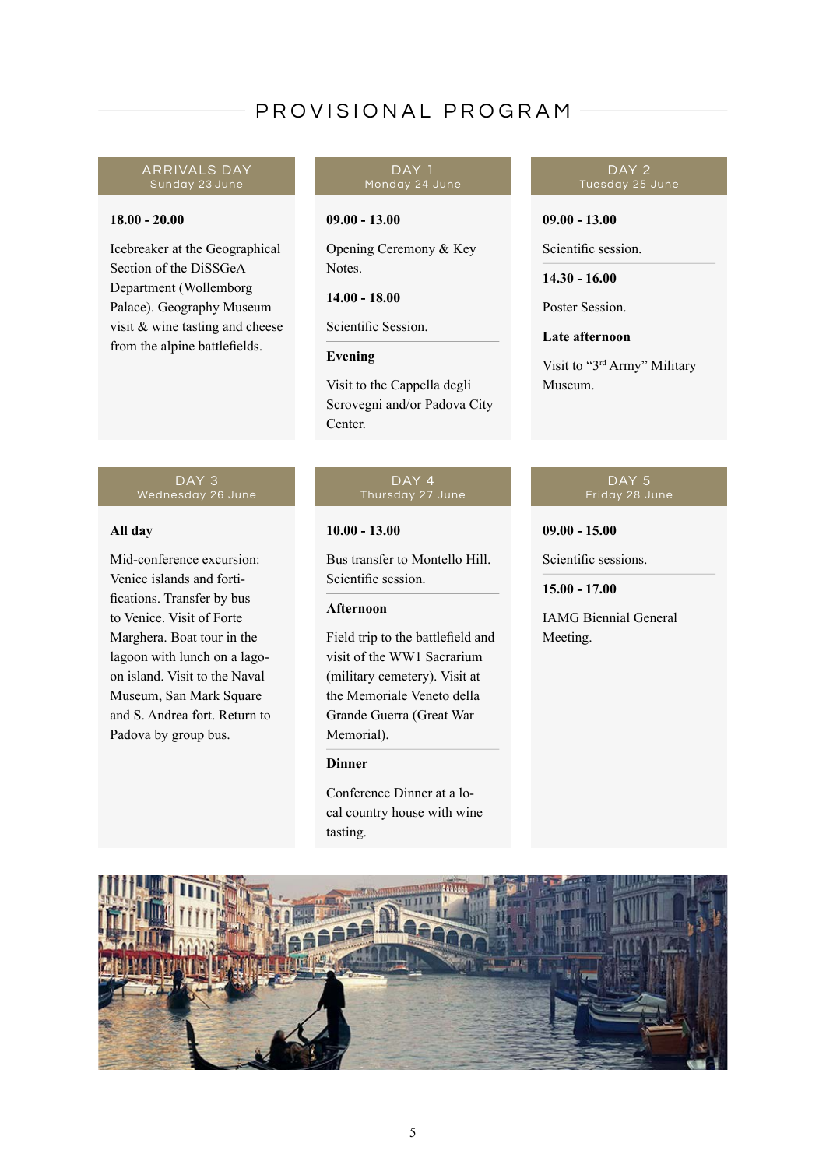# PROVISIONAL PROGRAM

#### ARRIVALS DAY Sunday 23 June

#### **18.00 - 20.00**

Icebreaker at the Geographical Section of the DiSSGeA Department (Wollemborg Palace). Geography Museum visit & wine tasting and cheese from the alpine battlefields.

#### DAY 1 Monday 24 June

#### **09.00 - 13.00**

Opening Ceremony & Key Notes.

**14.00 - 18.00**

Scientific Session.

#### **Evening**

Visit to the Cappella degli Scrovegni and/or Padova City Center.

#### DAY<sub>3</sub> Wednesday 26 June

#### **All day**

Mid-conference excursion: Venice islands and fortifications. Transfer by bus to Venice. Visit of [Forte](http://www.starforts.com/marghera.html)  [Marghera](http://www.starforts.com/marghera.html). Boat tour in the lagoon with lunch on a lagoon island. Visit to the Naval Museum, San Mark Square and S. Andrea fort. Return to Padova by group bus.

# DAY 4

#### **10.00 - 13.00**

Bus transfer to Montello Hill. Scientific session.

#### **Afternoon**

Field trip to the battlefield and visit of the WW1 Sacrarium (military cemetery). Visit at the Memoriale Veneto della Grande Guerra (Great War Memorial).

#### **Dinner**

Conference Dinner at a local country house with wine tasting.

#### DAY 2 Tuesday 25 June

#### **09.00 - 13.00**

Scientific session.

**14.30 - 16.00**

Poster Session.

#### **Late afternoon**

Visit to "3rd Army" Military Museum.

#### DAY<sub>5</sub> Friday 28 June

**09.00 - 15.00**

Scientific sessions.

**15.00 - 17.00**

IAMG Biennial General Meeting.

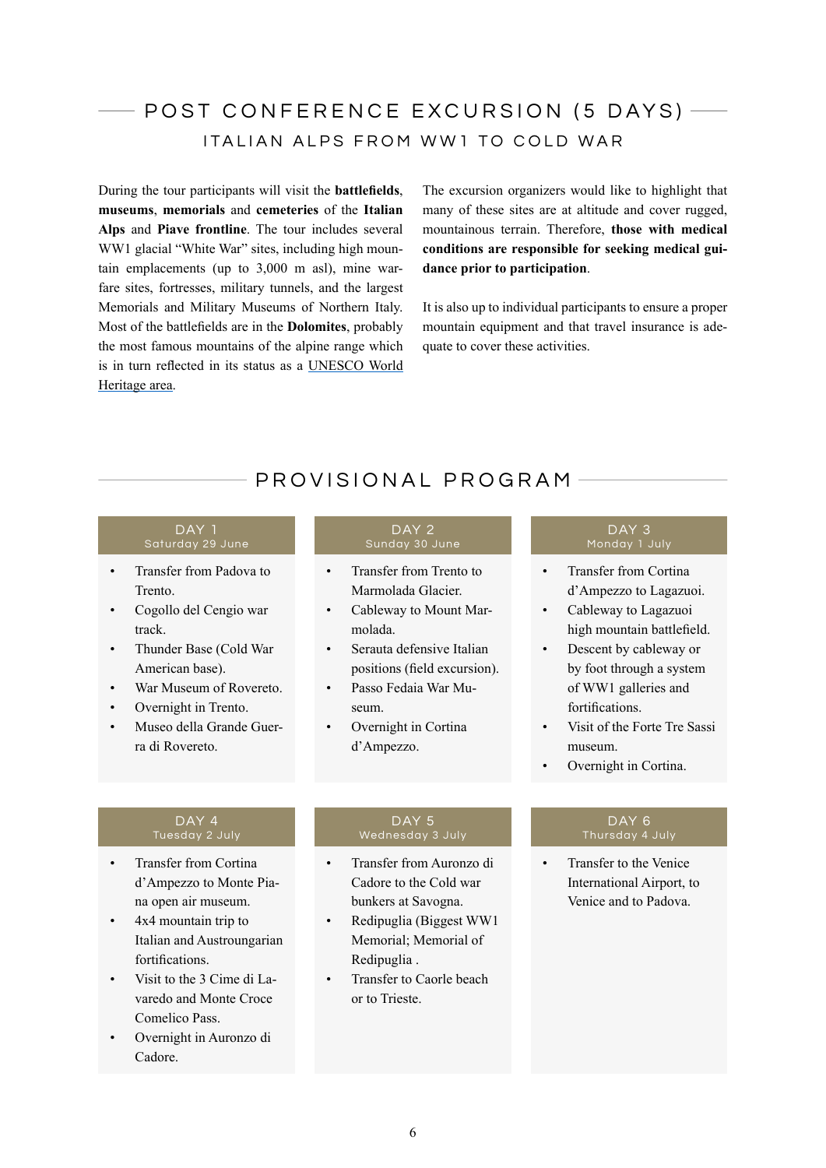# POST CONFERENCE EXCURSION (5 DAYS)  $-$ ITALIAN ALPS FROM WW1 TO COLD WAR

During the tour participants will visit the **battlefields**, **museums**, **memorials** and **cemeteries** of the **Italian Alps** and **Piave frontline**. The tour includes several WW1 glacial "White War" sites, including high mountain emplacements (up to 3,000 m asl), mine warfare sites, fortresses, military tunnels, and the largest Memorials and Military Museums of Northern Italy. Most of the battlefields are in the **Dolomites**, probably the most famous mountains of the alpine range which is in turn reflected in its status as a [UNESCO World](https://whc.unesco.org/en/list/1237)  [Heritage area](https://whc.unesco.org/en/list/1237).

The excursion organizers would like to highlight that many of these sites are at altitude and cover rugged, mountainous terrain. Therefore, **those with medical conditions are responsible for seeking medical guidance prior to participation**.

It is also up to individual participants to ensure a proper mountain equipment and that travel insurance is adequate to cover these activities.

# PROVISIONAL PROGRAM

# DAY 1

- Transfer from Padova to Trento.
- Cogollo del Cengio war track.
- Thunder Base (Cold War American base).
- War Museum of Rovereto.
- Overnight in Trento.
- [Museo della Grande Guer](http://www.museodellaguerra.it/?lang=en)[ra di Rovereto.](http://www.museodellaguerra.it/?lang=en)

# DAY 2

- Transfer from Trento to [Marmolada Glacier.](http://www.worldwar1.com/itafront/marmolada.htm)
- Cableway to Mount Marmolada.
- Serauta defensive Italian positions (field excursion).
- [Passo Fedaia War Mu](http://www.museomarmoladagrandeguerra.com/en/)[seum](http://www.museomarmoladagrandeguerra.com/en/).
- Overnight in Cortina d'Ampezzo.

#### DAY<sub>3</sub> Monday 1 July

- Transfer from Cortina d'Ampezzo to Lagazuoi.
- Cableway to [Lagazuoi](https://www.lagazuoi.it/Eng/generica.php?tabella=Storia&id=3) high mountain battlefield.
- Descent by cableway or by foot through a system of WW1 galleries and fortifications.
- Visit of the [Forte Tre Sassi](http://lagazuoi5torri.dolomiti.org/dengl/Cortina/laga5torri/musei/treSassi.html)  [museum](http://lagazuoi5torri.dolomiti.org/dengl/Cortina/laga5torri/musei/treSassi.html).
- Overnight in Cortina.

# DAY 4

- Transfer from Cortina d'Ampezzo to Monte Piana open air museum.
- 4x4 mountain trip to Italian and Austroungarian fortifications.
- Visit to the 3 Cime di Lavaredo and [Monte Croce](https://en.wikipedia.org/wiki/Tre_Cime_di_Lavaredo)  [Comelico Pass.](https://en.wikipedia.org/wiki/Tre_Cime_di_Lavaredo)
- Overnight in Auronzo di Cadore.

# DAY<sub>5</sub>

- Transfer from Auronzo di Cadore to the Cold war bunkers at Savogna.
- [Redipuglia](https://en.wikipedia.org/wiki/Sacrario_militare_di_Redipuglia) (Biggest WW1 Memorial; [Memorial of](http://www.itinerarigrandeguerra.it/code/33055/Memorial-of-Redipuglia)  [Redipuglia .](http://www.itinerarigrandeguerra.it/code/33055/Memorial-of-Redipuglia)
- Transfer to Caorle beach or to Trieste.

# DAY<sub>6</sub>

Transfer to the Venice International Airport, to Venice and to Padova.